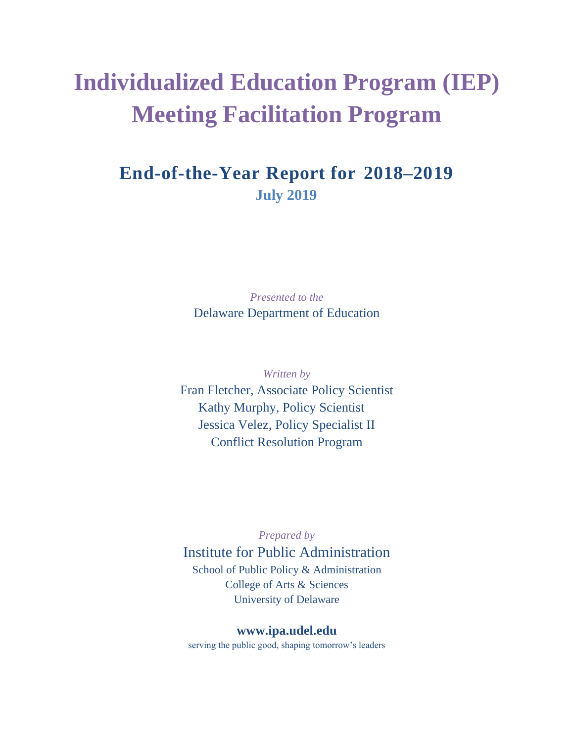# **Individualized Education Program (IEP) Meeting Facilitation Program**

# **End-of-the-Year Report for 2018–2019 July 2019**

*Presented to the* Delaware Department of Education

*Written by* Fran Fletcher, Associate Policy Scientist Kathy Murphy, Policy Scientist Jessica Velez, Policy Specialist II Conflict Resolution Program

*Prepared by*

Institute for Public Administration School of Public Policy & Administration College of Arts & Sciences University of Delaware

### **[www.ipa.udel.edu](http://www.ipa.udel.edu/)**

serving the public good, shaping tomorrow's leaders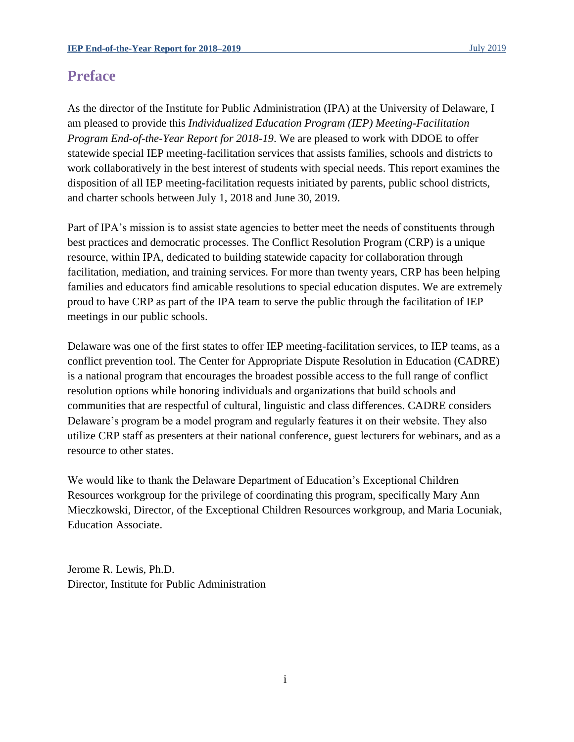### **Preface**

As the director of the Institute for Public Administration (IPA) at the University of Delaware, I am pleased to provide this *Individualized Education Program (IEP) Meeting***-***Facilitation Program End-of-the-Year Report for 2018-19*. We are pleased to work with DDOE to offer statewide special IEP meeting-facilitation services that assists families, schools and districts to work collaboratively in the best interest of students with special needs. This report examines the disposition of all IEP meeting**-**facilitation requests initiated by parents, public school districts, and charter schools between July 1, 2018 and June 30, 2019.

Part of IPA's mission is to assist state agencies to better meet the needs of constituents through best practices and democratic processes. The Conflict Resolution Program (CRP) is a unique resource, within IPA, dedicated to building statewide capacity for collaboration through facilitation, mediation, and training services. For more than twenty years, CRP has been helping families and educators find amicable resolutions to special education disputes. We are extremely proud to have CRP as part of the IPA team to serve the public through the facilitation of IEP meetings in our public schools.

Delaware was one of the first states to offer IEP meeting-facilitation services, to IEP teams, as a conflict prevention tool. The Center for Appropriate Dispute Resolution in Education (CADRE) is a national program that encourages the broadest possible access to the full range of conflict resolution options while honoring individuals and organizations that build schools and communities that are respectful of cultural, linguistic and class differences. CADRE considers Delaware's program be a model program and regularly features it on their website. They also utilize CRP staff as presenters at their national conference, guest lecturers for webinars, and as a resource to other states.

We would like to thank the Delaware Department of Education's Exceptional Children Resources workgroup for the privilege of coordinating this program, specifically Mary Ann Mieczkowski, Director, of the Exceptional Children Resources workgroup, and Maria Locuniak, Education Associate.

Jerome R. Lewis, Ph.D. Director, Institute for Public Administration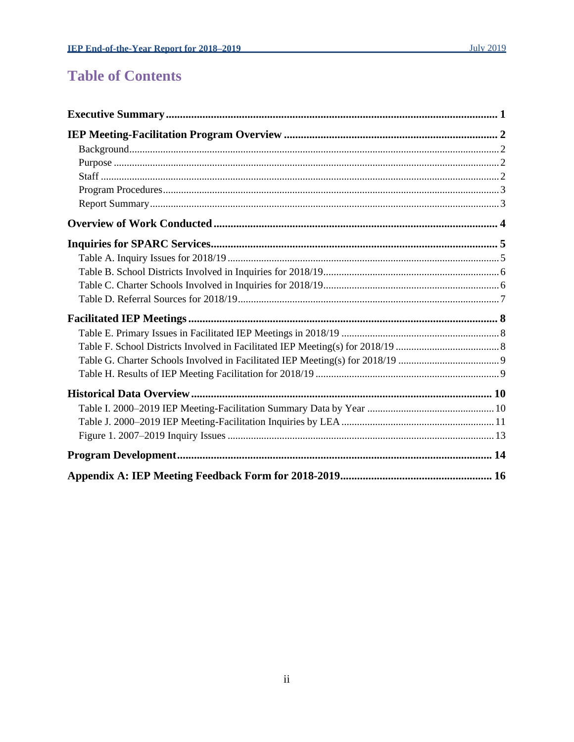## **Table of Contents**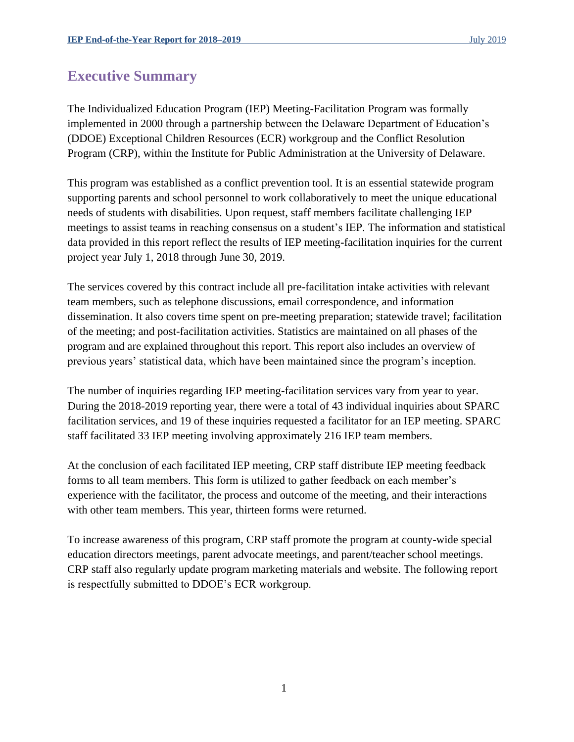### <span id="page-3-0"></span>**Executive Summary**

The Individualized Education Program (IEP) Meeting-Facilitation Program was formally implemented in 2000 through a partnership between the Delaware Department of Education's (DDOE) Exceptional Children Resources (ECR) workgroup and the Conflict Resolution Program (CRP), within the Institute for Public Administration at the University of Delaware.

This program was established as a conflict prevention tool. It is an essential statewide program supporting parents and school personnel to work collaboratively to meet the unique educational needs of students with disabilities. Upon request, staff members facilitate challenging IEP meetings to assist teams in reaching consensus on a student's IEP. The information and statistical data provided in this report reflect the results of IEP meeting**-**facilitation inquiries for the current project year July 1, 2018 through June 30, 2019.

The services covered by this contract include all pre-facilitation intake activities with relevant team members, such as telephone discussions, email correspondence, and information dissemination. It also covers time spent on pre-meeting preparation; statewide travel; facilitation of the meeting; and post-facilitation activities. Statistics are maintained on all phases of the program and are explained throughout this report. This report also includes an overview of previous years' statistical data, which have been maintained since the program's inception.

The number of inquiries regarding IEP meeting-facilitation services vary from year to year. During the 2018-2019 reporting year, there were a total of 43 individual inquiries about SPARC facilitation services, and 19 of these inquiries requested a facilitator for an IEP meeting. SPARC staff facilitated 33 IEP meeting involving approximately 216 IEP team members.

At the conclusion of each facilitated IEP meeting, CRP staff distribute IEP meeting feedback forms to all team members. This form is utilized to gather feedback on each member's experience with the facilitator, the process and outcome of the meeting, and their interactions with other team members. This year, thirteen forms were returned.

To increase awareness of this program, CRP staff promote the program at county-wide special education directors meetings, parent advocate meetings, and parent/teacher school meetings. CRP staff also regularly update program marketing materials and website. The following report is respectfully submitted to DDOE's ECR workgroup.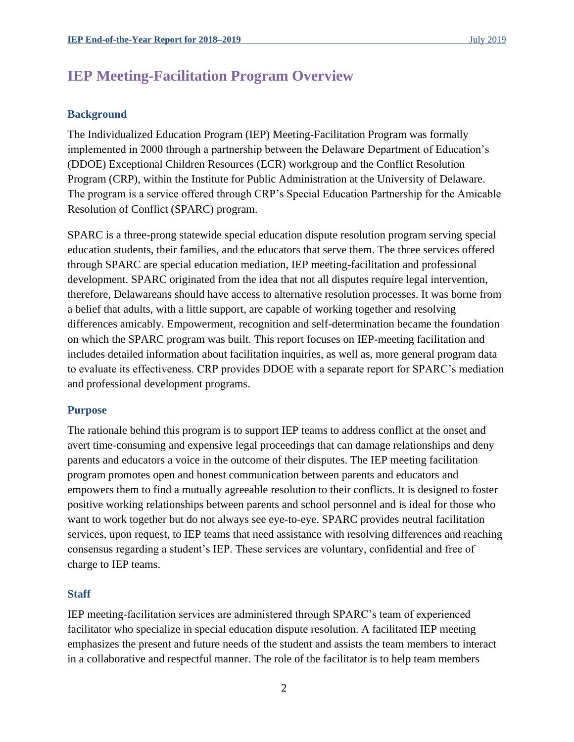### <span id="page-4-0"></span>**IEP Meeting-Facilitation Program Overview**

#### <span id="page-4-1"></span>**Background**

The Individualized Education Program (IEP) Meeting-Facilitation Program was formally implemented in 2000 through a partnership between the Delaware Department of Education's (DDOE) Exceptional Children Resources (ECR) workgroup and the Conflict Resolution Program (CRP), within the Institute for Public Administration at the University of Delaware. The program is a service offered through CRP's Special Education Partnership for the Amicable Resolution of Conflict (SPARC) program.

SPARC is a three-prong statewide special education dispute resolution program serving special education students, their families, and the educators that serve them. The three services offered through SPARC are special education mediation, IEP meeting-facilitation and professional development. SPARC originated from the idea that not all disputes require legal intervention, therefore, Delawareans should have access to alternative resolution processes. It was borne from a belief that adults, with a little support, are capable of working together and resolving differences amicably. Empowerment, recognition and self-determination became the foundation on which the SPARC program was built. This report focuses on IEP-meeting facilitation and includes detailed information about facilitation inquiries, as well as, more general program data to evaluate its effectiveness. CRP provides DDOE with a separate report for SPARC's mediation and professional development programs.

#### <span id="page-4-2"></span>**Purpose**

The rationale behind this program is to support IEP teams to address conflict at the onset and avert time-consuming and expensive legal proceedings that can damage relationships and deny parents and educators a voice in the outcome of their disputes. The IEP meeting facilitation program promotes open and honest communication between parents and educators and empowers them to find a mutually agreeable resolution to their conflicts. It is designed to foster positive working relationships between parents and school personnel and is ideal for those who want to work together but do not always see eye-to-eye. SPARC provides neutral facilitation services, upon request, to IEP teams that need assistance with resolving differences and reaching consensus regarding a student's IEP. These services are voluntary, confidential and free of charge to IEP teams.

#### <span id="page-4-3"></span>**Staff**

IEP meeting-facilitation services are administered through SPARC's team of experienced facilitator who specialize in special education dispute resolution. A facilitated IEP meeting emphasizes the present and future needs of the student and assists the team members to interact in a collaborative and respectful manner. The role of the facilitator is to help team members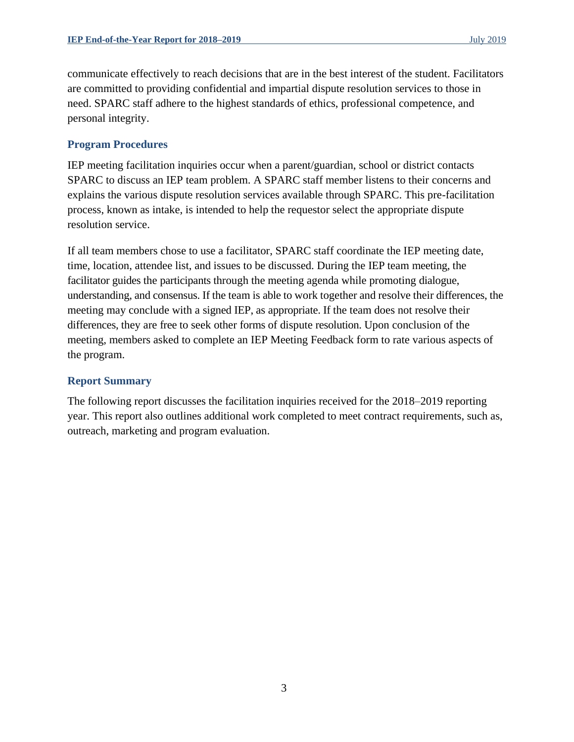communicate effectively to reach decisions that are in the best interest of the student. Facilitators are committed to providing confidential and impartial dispute resolution services to those in need. SPARC staff adhere to the highest standards of ethics, professional competence, and personal integrity.

### <span id="page-5-0"></span>**Program Procedures**

IEP meeting facilitation inquiries occur when a parent/guardian, school or district contacts SPARC to discuss an IEP team problem. A SPARC staff member listens to their concerns and explains the various dispute resolution services available through SPARC. This pre-facilitation process, known as intake, is intended to help the requestor select the appropriate dispute resolution service.

If all team members chose to use a facilitator, SPARC staff coordinate the IEP meeting date, time, location, attendee list, and issues to be discussed. During the IEP team meeting, the facilitator guides the participants through the meeting agenda while promoting dialogue, understanding, and consensus. If the team is able to work together and resolve their differences, the meeting may conclude with a signed IEP, as appropriate. If the team does not resolve their differences, they are free to seek other forms of dispute resolution. Upon conclusion of the meeting, members asked to complete an IEP Meeting Feedback form to rate various aspects of the program.

### <span id="page-5-1"></span>**Report Summary**

The following report discusses the facilitation inquiries received for the 2018–2019 reporting year. This report also outlines additional work completed to meet contract requirements, such as, outreach, marketing and program evaluation.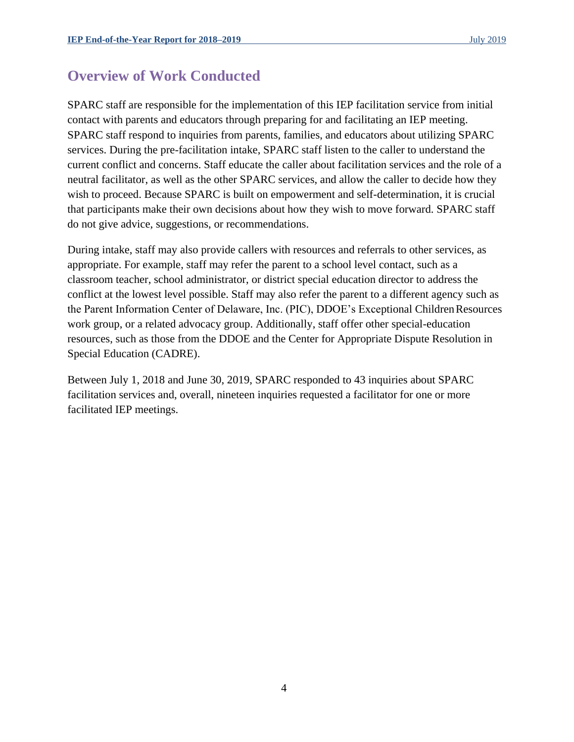### <span id="page-6-0"></span>**Overview of Work Conducted**

SPARC staff are responsible for the implementation of this IEP facilitation service from initial contact with parents and educators through preparing for and facilitating an IEP meeting. SPARC staff respond to inquiries from parents, families, and educators about utilizing SPARC services. During the pre-facilitation intake, SPARC staff listen to the caller to understand the current conflict and concerns. Staff educate the caller about facilitation services and the role of a neutral facilitator, as well as the other SPARC services, and allow the caller to decide how they wish to proceed. Because SPARC is built on empowerment and self-determination, it is crucial that participants make their own decisions about how they wish to move forward. SPARC staff do not give advice, suggestions, or recommendations.

During intake, staff may also provide callers with resources and referrals to other services, as appropriate. For example, staff may refer the parent to a school level contact, such as a classroom teacher, school administrator, or district special education director to address the conflict at the lowest level possible. Staff may also refer the parent to a different agency such as the Parent Information Center of Delaware, Inc. (PIC), DDOE's Exceptional ChildrenResources work group, or a related advocacy group. Additionally, staff offer other special-education resources, such as those from the DDOE and the Center for Appropriate Dispute Resolution in Special Education (CADRE).

Between July 1, 2018 and June 30, 2019, SPARC responded to 43 inquiries about SPARC facilitation services and, overall, nineteen inquiries requested a facilitator for one or more facilitated IEP meetings.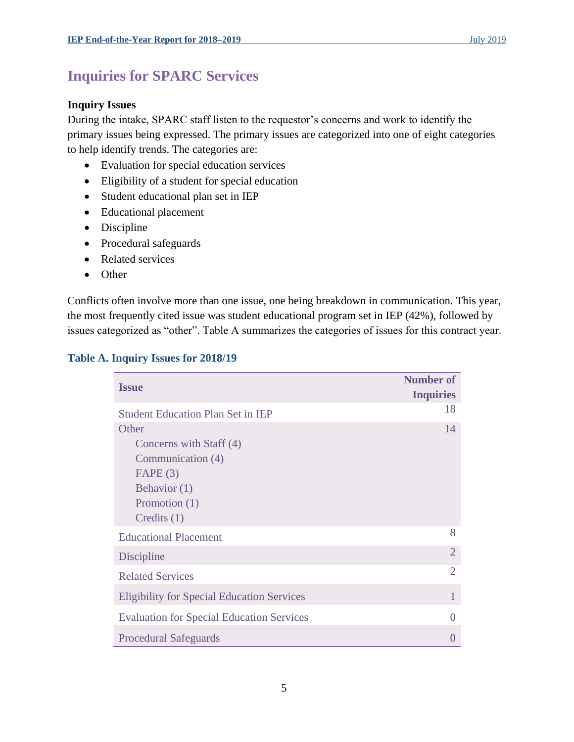### <span id="page-7-0"></span>**Inquiries for SPARC Services**

### **Inquiry Issues**

During the intake, SPARC staff listen to the requestor's concerns and work to identify the primary issues being expressed. The primary issues are categorized into one of eight categories to help identify trends. The categories are:

- Evaluation for special education services
- Eligibility of a student for special education
- Student educational plan set in IEP
- Educational placement
- Discipline
- Procedural safeguards
- Related services
- Other

Conflicts often involve more than one issue, one being breakdown in communication. This year, the most frequently cited issue was student educational program set in IEP (42%), followed by issues categorized as "other". Table A summarizes the categories of issues for this contract year.

| <b>Issue</b>                                      | <b>Number of</b><br><b>Inquiries</b> |
|---------------------------------------------------|--------------------------------------|
| <b>Student Education Plan Set in IEP</b>          | 18                                   |
| Other                                             | 14                                   |
| Concerns with Staff (4)                           |                                      |
| Communication (4)                                 |                                      |
| FAPE(3)                                           |                                      |
| Behavior (1)                                      |                                      |
| Promotion (1)                                     |                                      |
| Credits $(1)$                                     |                                      |
| <b>Educational Placement</b>                      | 8                                    |
| Discipline                                        | $\overline{2}$                       |
| <b>Related Services</b>                           | $\overline{2}$                       |
| <b>Eligibility for Special Education Services</b> | 1                                    |
| <b>Evaluation for Special Education Services</b>  | $\Omega$                             |
| <b>Procedural Safeguards</b>                      | $\Omega$                             |

### <span id="page-7-1"></span>**Table A. Inquiry Issues for 2018/19**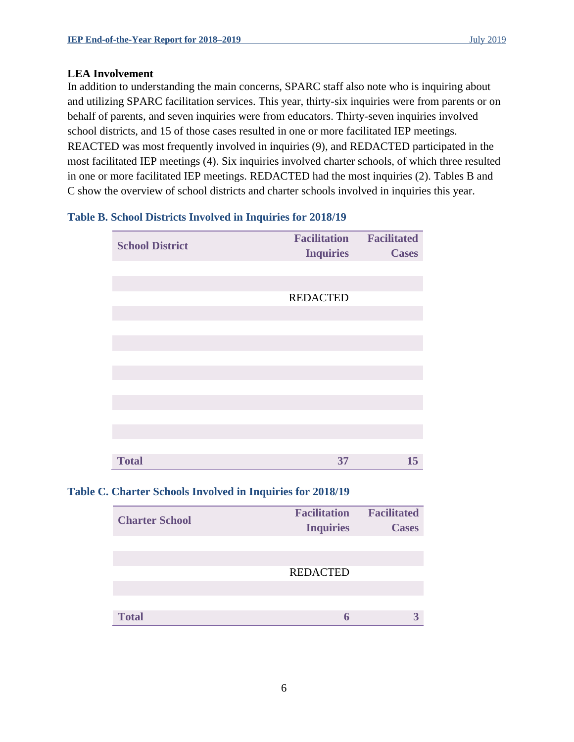#### **LEA Involvement**

In addition to understanding the main concerns, SPARC staff also note who is inquiring about and utilizing SPARC facilitation services. This year, thirty-six inquiries were from parents or on behalf of parents, and seven inquiries were from educators. Thirty-seven inquiries involved school districts, and 15 of those cases resulted in one or more facilitated IEP meetings. REACTED was most frequently involved in inquiries (9), and REDACTED participated in the most facilitated IEP meetings (4). Six inquiries involved charter schools, of which three resulted in one or more facilitated IEP meetings. REDACTED had the most inquiries (2). Tables B and C show the overview of school districts and charter schools involved in inquiries this year.

### <span id="page-8-0"></span>**Table B. School Districts Involved in Inquiries for 2018/19**

| <b>School District</b> | <b>Facilitation Facilitated</b> |              |
|------------------------|---------------------------------|--------------|
|                        | <b>Inquiries</b>                | <b>Cases</b> |
|                        |                                 |              |
|                        |                                 |              |
|                        | <b>REDACTED</b>                 |              |
|                        |                                 |              |
|                        |                                 |              |
|                        |                                 |              |
|                        |                                 |              |
|                        |                                 |              |
|                        |                                 |              |
|                        |                                 |              |
|                        |                                 |              |
|                        |                                 |              |
|                        |                                 |              |
| <b>Total</b>           | 37                              | 15           |

### <span id="page-8-1"></span>**Table C. Charter Schools Involved in Inquiries for 2018/19**

| <b>Charter School</b> | <b>Facilitation</b><br><b>Inquiries</b> | <b>Facilitated</b><br><b>Cases</b> |
|-----------------------|-----------------------------------------|------------------------------------|
|                       |                                         |                                    |
|                       |                                         |                                    |
|                       | <b>REDACTED</b>                         |                                    |
|                       |                                         |                                    |
|                       |                                         |                                    |
| <b>Total</b>          |                                         |                                    |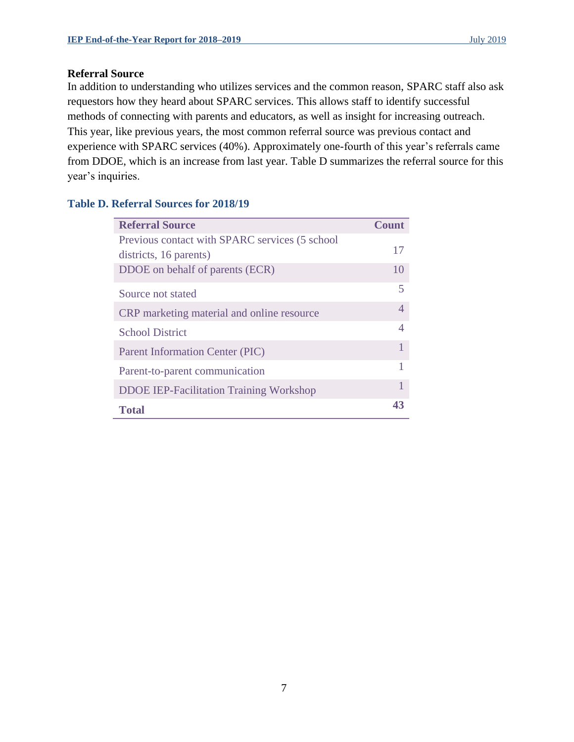### **Referral Source**

In addition to understanding who utilizes services and the common reason, SPARC staff also ask requestors how they heard about SPARC services. This allows staff to identify successful methods of connecting with parents and educators, as well as insight for increasing outreach. This year, like previous years, the most common referral source was previous contact and experience with SPARC services (40%). Approximately one-fourth of this year's referrals came from DDOE, which is an increase from last year. Table D summarizes the referral source for this year's inquiries.

### <span id="page-9-0"></span>**Table D. Referral Sources for 2018/19**

| <b>Referral Source</b>                          | <b>Count</b>            |
|-------------------------------------------------|-------------------------|
| Previous contact with SPARC services (5 school) |                         |
| districts, 16 parents)                          | 17                      |
| DDOE on behalf of parents (ECR)                 | 10                      |
| Source not stated                               | $\overline{\mathbf{5}}$ |
| CRP marketing material and online resource      | $\overline{4}$          |
| <b>School District</b>                          | 4                       |
| Parent Information Center (PIC)                 | 1                       |
| Parent-to-parent communication                  | 1                       |
| <b>DDOE IEP-Facilitation Training Workshop</b>  | 1                       |
| <b>Total</b>                                    | 43                      |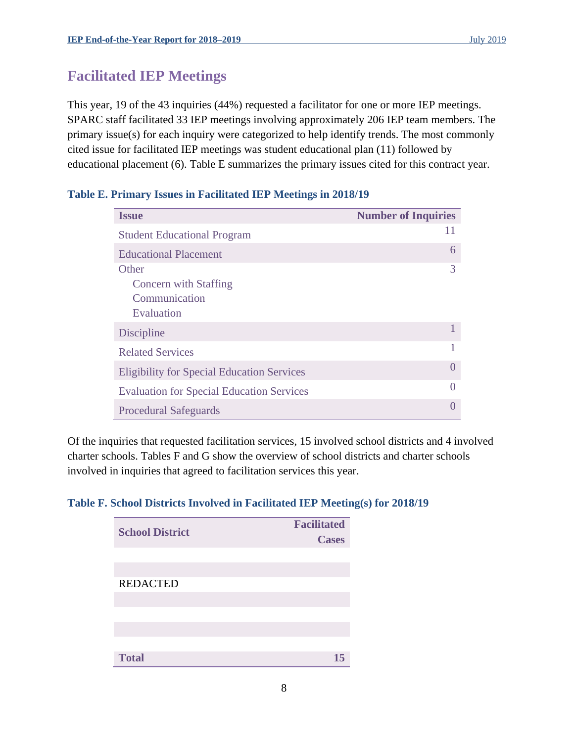### <span id="page-10-0"></span>**Facilitated IEP Meetings**

This year, 19 of the 43 inquiries (44%) requested a facilitator for one or more IEP meetings. SPARC staff facilitated 33 IEP meetings involving approximately 206 IEP team members. The primary issue(s) for each inquiry were categorized to help identify trends. The most commonly cited issue for facilitated IEP meetings was student educational plan (11) followed by educational placement (6). Table E summarizes the primary issues cited for this contract year.

| <b>Issue</b>                                                         | <b>Number of Inquiries</b> |
|----------------------------------------------------------------------|----------------------------|
| <b>Student Educational Program</b>                                   | 11                         |
| <b>Educational Placement</b>                                         | 6                          |
| Other<br><b>Concern</b> with Staffing<br>Communication<br>Evaluation | 3                          |
| Discipline                                                           |                            |
| <b>Related Services</b>                                              |                            |
| <b>Eligibility for Special Education Services</b>                    | $\left( \right)$           |
| <b>Evaluation for Special Education Services</b>                     | $\left( \right)$           |
| <b>Procedural Safeguards</b>                                         |                            |

### <span id="page-10-1"></span>**Table E. Primary Issues in Facilitated IEP Meetings in 2018/19**

Of the inquiries that requested facilitation services, 15 involved school districts and 4 involved charter schools. Tables F and G show the overview of school districts and charter schools involved in inquiries that agreed to facilitation services this year.

### <span id="page-10-2"></span>**Table F. School Districts Involved in Facilitated IEP Meeting(s) for 2018/19**

| <b>School District</b> | <b>Facilitated</b><br><b>Cases</b> |
|------------------------|------------------------------------|
|                        |                                    |
|                        |                                    |
| <b>REDACTED</b>        |                                    |
|                        |                                    |
|                        |                                    |
|                        |                                    |
|                        |                                    |
| <b>Total</b>           | 15                                 |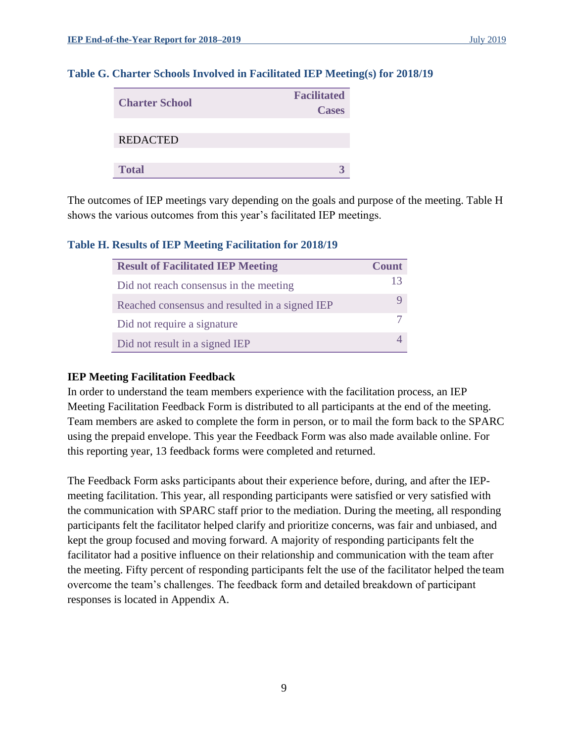| <b>Charter School</b> | <b>Facilitated</b><br><b>Cases</b> |
|-----------------------|------------------------------------|
| <b>REDACTED</b>       |                                    |
| <b>Total</b>          |                                    |

#### <span id="page-11-0"></span>**Table G. Charter Schools Involved in Facilitated IEP Meeting(s) for 2018/19**

The outcomes of IEP meetings vary depending on the goals and purpose of the meeting. Table H shows the various outcomes from this year's facilitated IEP meetings.

#### <span id="page-11-1"></span>**Table H. Results of IEP Meeting Facilitation for 2018/19**

| <b>Result of Facilitated IEP Meeting</b>       | <b>Count</b> |
|------------------------------------------------|--------------|
| Did not reach consensus in the meeting         | 13.          |
| Reached consensus and resulted in a signed IEP |              |
| Did not require a signature                    |              |
| Did not result in a signed IEP                 |              |

#### **IEP Meeting Facilitation Feedback**

In order to understand the team members experience with the facilitation process, an IEP Meeting Facilitation Feedback Form is distributed to all participants at the end of the meeting. Team members are asked to complete the form in person, or to mail the form back to the SPARC using the prepaid envelope. This year the Feedback Form was also made available online. For this reporting year, 13 feedback forms were completed and returned.

The Feedback Form asks participants about their experience before, during, and after the IEPmeeting facilitation. This year, all responding participants were satisfied or very satisfied with the communication with SPARC staff prior to the mediation. During the meeting, all responding participants felt the facilitator helped clarify and prioritize concerns, was fair and unbiased, and kept the group focused and moving forward. A majority of responding participants felt the facilitator had a positive influence on their relationship and communication with the team after the meeting. Fifty percent of responding participants felt the use of the facilitator helped the team overcome the team's challenges. The feedback form and detailed breakdown of participant responses is located in Appendix A.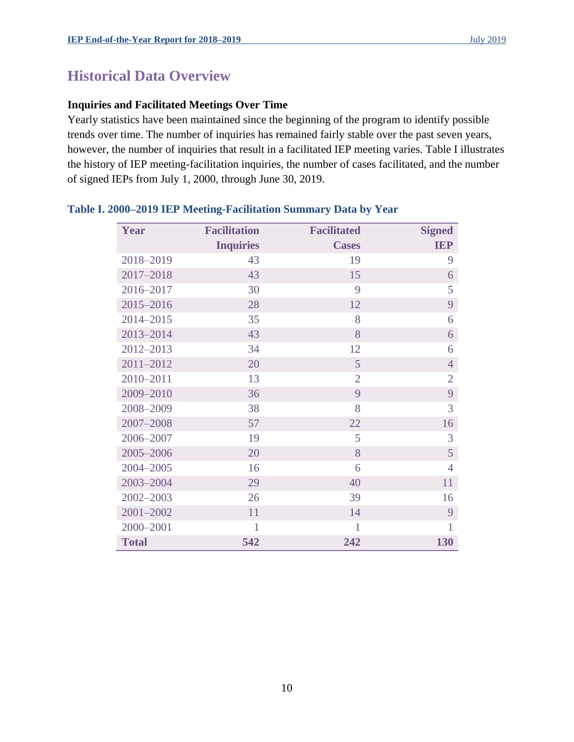### <span id="page-12-0"></span>**Historical Data Overview**

### **Inquiries and Facilitated Meetings Over Time**

Yearly statistics have been maintained since the beginning of the program to identify possible trends over time. The number of inquiries has remained fairly stable over the past seven years, however, the number of inquiries that result in a facilitated IEP meeting varies. Table I illustrates the history of IEP meeting-facilitation inquiries, the number of cases facilitated, and the number of signed IEPs from July 1, 2000, through June 30, 2019.

| Year         | <b>Facilitation</b> | <b>Facilitated</b> | <b>Signed</b>  |
|--------------|---------------------|--------------------|----------------|
|              | <b>Inquiries</b>    | <b>Cases</b>       | <b>IEP</b>     |
| 2018-2019    | 43                  | 19                 | 9              |
| 2017-2018    | 43                  | 15                 | 6              |
| 2016-2017    | 30                  | 9                  | 5              |
| 2015-2016    | 28                  | 12                 | 9              |
| 2014-2015    | 35                  | 8                  | 6              |
| 2013-2014    | 43                  | 8                  | 6              |
| 2012-2013    | 34                  | 12                 | 6              |
| 2011-2012    | 20                  | 5                  | $\overline{4}$ |
| 2010-2011    | 13                  | $\overline{2}$     | $\overline{2}$ |
| 2009-2010    | 36                  | 9                  | 9              |
| 2008-2009    | 38                  | 8                  | 3              |
| 2007-2008    | 57                  | 22                 | 16             |
| 2006-2007    | 19                  | 5                  | 3              |
| 2005-2006    | 20                  | 8                  | 5              |
| 2004-2005    | 16                  | 6                  | $\overline{4}$ |
| 2003-2004    | 29                  | 40                 | 11             |
| 2002-2003    | 26                  | 39                 | 16             |
| 2001-2002    | 11                  | 14                 | 9              |
| 2000-2001    | 1                   | 1                  | 1              |
| <b>Total</b> | 542                 | 242                | 130            |

### <span id="page-12-1"></span>**Table I. 2000–2019 IEP Meeting-Facilitation Summary Data by Year**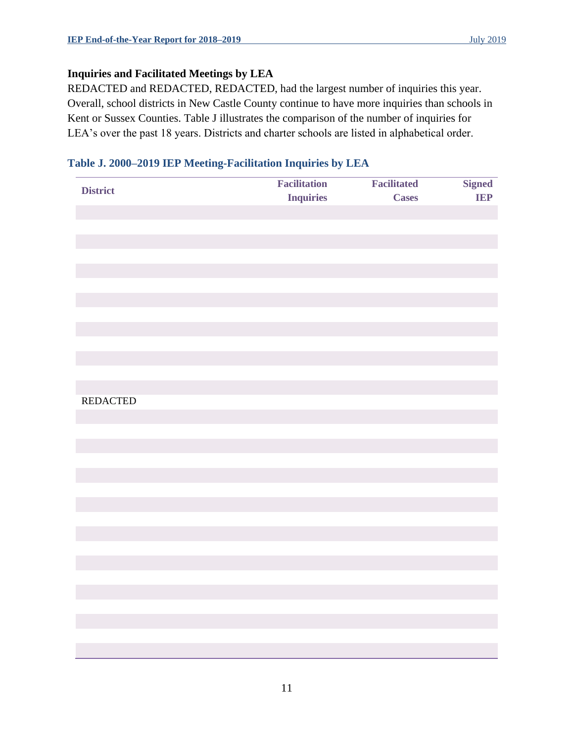### **Inquiries and Facilitated Meetings by LEA**

REDACTED and REDACTED, REDACTED, had the largest number of inquiries this year. Overall, school districts in New Castle County continue to have more inquiries than schools in Kent or Sussex Counties. Table J illustrates the comparison of the number of inquiries for LEA's over the past 18 years. Districts and charter schools are listed in alphabetical order.

### <span id="page-13-0"></span>**Table J. 2000–2019 IEP Meeting-Facilitation Inquiries by LEA**

| <b>District</b> | <b>Facilitation</b> | <b>Facilitated</b> | <b>Signed</b> |
|-----------------|---------------------|--------------------|---------------|
|                 | <b>Inquiries</b>    | <b>Cases</b>       | <b>IEP</b>    |
|                 |                     |                    |               |
|                 |                     |                    |               |
|                 |                     |                    |               |
|                 |                     |                    |               |
|                 |                     |                    |               |
|                 |                     |                    |               |
|                 |                     |                    |               |
|                 |                     |                    |               |
|                 |                     |                    |               |
|                 |                     |                    |               |
|                 |                     |                    |               |
|                 |                     |                    |               |
| <b>REDACTED</b> |                     |                    |               |
|                 |                     |                    |               |
|                 |                     |                    |               |
|                 |                     |                    |               |
|                 |                     |                    |               |
|                 |                     |                    |               |
|                 |                     |                    |               |
|                 |                     |                    |               |
|                 |                     |                    |               |
|                 |                     |                    |               |
|                 |                     |                    |               |
|                 |                     |                    |               |
|                 |                     |                    |               |
|                 |                     |                    |               |
|                 |                     |                    |               |
|                 |                     |                    |               |
|                 |                     |                    |               |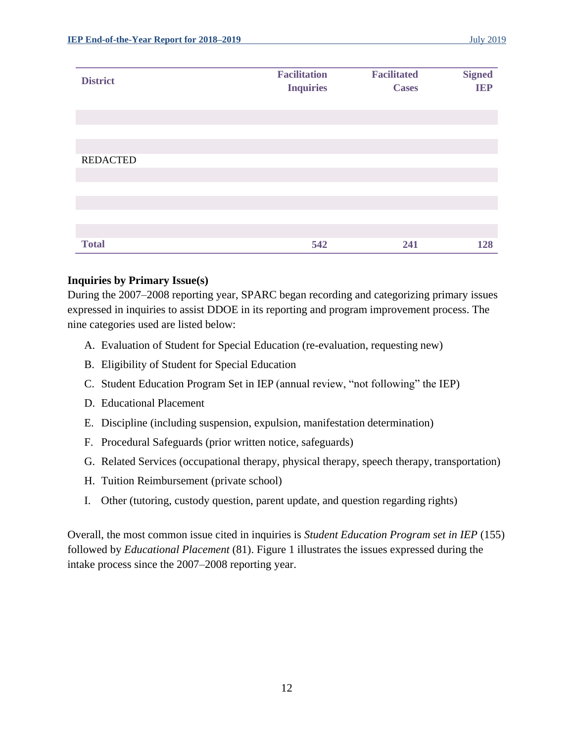| <b>District</b> | <b>Facilitation</b><br><b>Inquiries</b> | <b>Facilitated</b><br><b>Cases</b> | <b>Signed</b><br><b>IEP</b> |
|-----------------|-----------------------------------------|------------------------------------|-----------------------------|
|                 |                                         |                                    |                             |
| <b>REDACTED</b> |                                         |                                    |                             |
|                 |                                         |                                    |                             |
|                 |                                         |                                    |                             |
|                 |                                         |                                    |                             |
| <b>Total</b>    | 542                                     | 241                                | 128                         |

#### **Inquiries by Primary Issue(s)**

During the 2007–2008 reporting year, SPARC began recording and categorizing primary issues expressed in inquiries to assist DDOE in its reporting and program improvement process. The nine categories used are listed below:

- A. Evaluation of Student for Special Education (re-evaluation, requesting new)
- B. Eligibility of Student for Special Education
- C. Student Education Program Set in IEP (annual review, "not following" the IEP)
- D. Educational Placement
- E. Discipline (including suspension, expulsion, manifestation determination)
- F. Procedural Safeguards (prior written notice, safeguards)
- G. Related Services (occupational therapy, physical therapy, speech therapy, transportation)
- H. Tuition Reimbursement (private school)
- I. Other (tutoring, custody question, parent update, and question regarding rights)

Overall, the most common issue cited in inquiries is *Student Education Program set in IEP* (155) followed by *Educational Placement* (81). Figure 1 illustrates the issues expressed during the intake process since the 2007–2008 reporting year.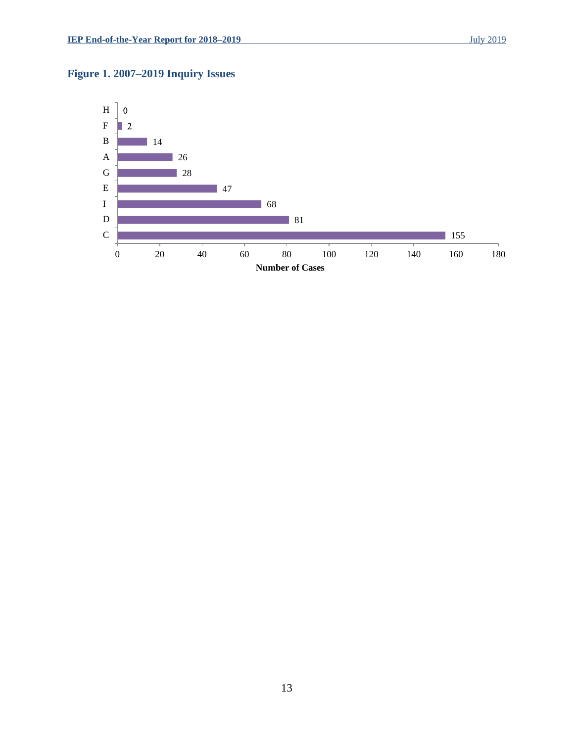### <span id="page-15-0"></span>**Figure 1. 2007–2019 Inquiry Issues**

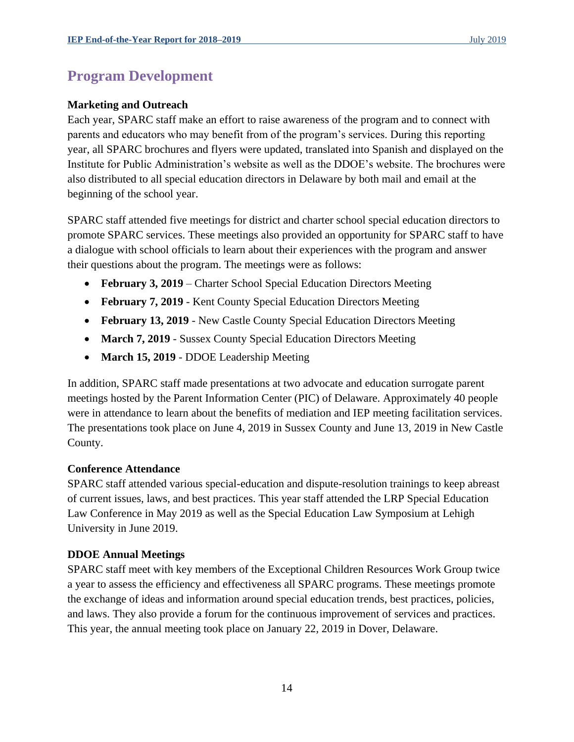### <span id="page-16-0"></span>**Program Development**

### **Marketing and Outreach**

Each year, SPARC staff make an effort to raise awareness of the program and to connect with parents and educators who may benefit from of the program's services. During this reporting year, all SPARC brochures and flyers were updated, translated into Spanish and displayed on the Institute for Public Administration's website as well as the DDOE's website. The brochures were also distributed to all special education directors in Delaware by both mail and email at the beginning of the school year.

SPARC staff attended five meetings for district and charter school special education directors to promote SPARC services. These meetings also provided an opportunity for SPARC staff to have a dialogue with school officials to learn about their experiences with the program and answer their questions about the program. The meetings were as follows:

- **February 3, 2019**  Charter School Special Education Directors Meeting
- **February 7, 2019**  Kent County Special Education Directors Meeting
- **February 13, 2019**  New Castle County Special Education Directors Meeting
- March 7, 2019 Sussex County Special Education Directors Meeting
- March 15, 2019 DDOE Leadership Meeting

In addition, SPARC staff made presentations at two advocate and education surrogate parent meetings hosted by the Parent Information Center (PIC) of Delaware. Approximately 40 people were in attendance to learn about the benefits of mediation and IEP meeting facilitation services. The presentations took place on June 4, 2019 in Sussex County and June 13, 2019 in New Castle County.

### **Conference Attendance**

SPARC staff attended various special-education and dispute-resolution trainings to keep abreast of current issues, laws, and best practices. This year staff attended the LRP Special Education Law Conference in May 2019 as well as the Special Education Law Symposium at Lehigh University in June 2019.

### **DDOE Annual Meetings**

SPARC staff meet with key members of the Exceptional Children Resources Work Group twice a year to assess the efficiency and effectiveness all SPARC programs. These meetings promote the exchange of ideas and information around special education trends, best practices, policies, and laws. They also provide a forum for the continuous improvement of services and practices. This year, the annual meeting took place on January 22, 2019 in Dover, Delaware.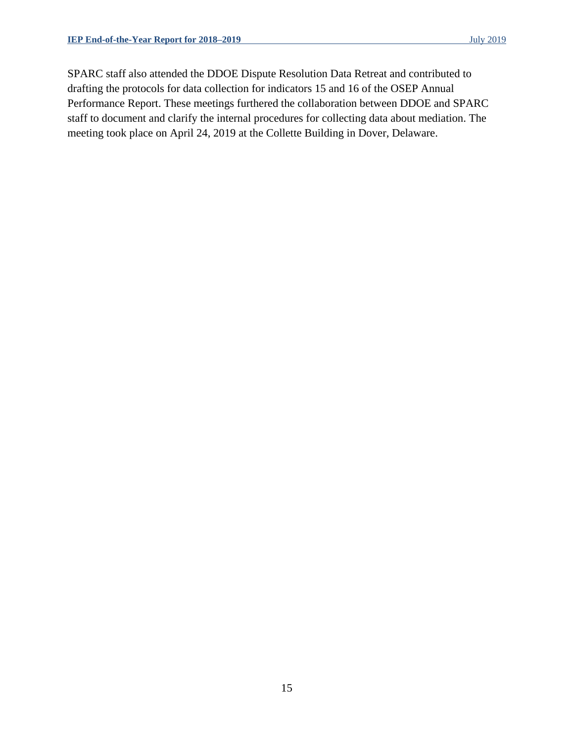SPARC staff also attended the DDOE Dispute Resolution Data Retreat and contributed to drafting the protocols for data collection for indicators 15 and 16 of the OSEP Annual Performance Report. These meetings furthered the collaboration between DDOE and SPARC staff to document and clarify the internal procedures for collecting data about mediation. The meeting took place on April 24, 2019 at the Collette Building in Dover, Delaware.